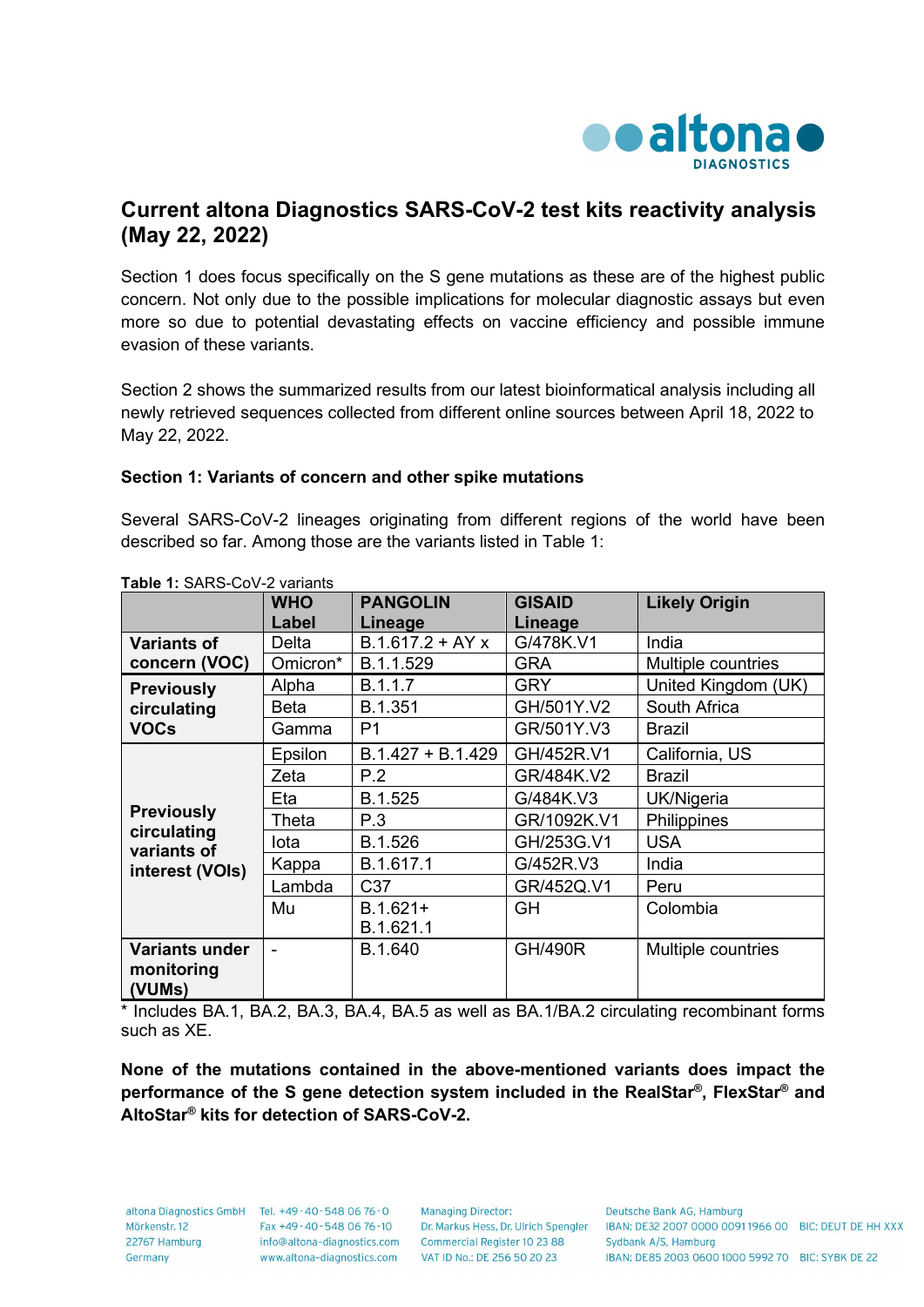

## **Current altona Diagnostics SARS-CoV-2 test kits reactivity analysis (May 22, 2022)**

Section 1 does focus specifically on the S gene mutations as these are of the highest public concern. Not only due to the possible implications for molecular diagnostic assays but even more so due to potential devastating effects on vaccine efficiency and possible immune evasion of these variants.

Section 2 shows the summarized results from our latest bioinformatical analysis including all newly retrieved sequences collected from different online sources between April 18, 2022 to May 22, 2022.

## **Section 1: Variants of concern and other spike mutations**

Several SARS-CoV-2 lineages originating from different regions of the world have been described so far. Among those are the variants listed in Table 1:

| <b>WHO</b> | <b>PANGOLIN</b>     | <b>GISAID</b>  | <b>Likely Origin</b> |
|------------|---------------------|----------------|----------------------|
| Label      | Lineage             | Lineage        |                      |
| Delta      | $B.1.617.2 + AYx$   | G/478K.V1      | India                |
| Omicron*   | B.1.1.529           | <b>GRA</b>     | Multiple countries   |
| Alpha      | B.1.1.7             | <b>GRY</b>     | United Kingdom (UK)  |
| Beta       | B.1.351             | GH/501Y.V2     | South Africa         |
| Gamma      | P <sub>1</sub>      | GR/501Y.V3     | <b>Brazil</b>        |
| Epsilon    | $B.1.427 + B.1.429$ | GH/452R.V1     | California, US       |
| Zeta       | P.2                 | GR/484K.V2     | <b>Brazil</b>        |
| Eta        | B.1.525             | G/484K.V3      | UK/Nigeria           |
| Theta      | P.3                 | GR/1092K.V1    | Philippines          |
| lota       | B.1.526             | GH/253G.V1     | <b>USA</b>           |
| Kappa      | B.1.617.1           | G/452R.V3      | India                |
| Lambda     | C37                 | GR/452Q.V1     | Peru                 |
| Mu         | $B.1.621+$          | GH             | Colombia             |
|            | B.1.621.1           |                |                      |
|            | B.1.640             | <b>GH/490R</b> | Multiple countries   |
|            |                     |                |                      |
|            |                     |                |                      |

**Table 1:** SARS-CoV-2 variants

\* Includes BA.1, BA.2, BA.3, BA.4, BA.5 as well as BA.1/BA.2 circulating recombinant forms such as XE.

**None of the mutations contained in the above-mentioned variants does impact the performance of the S gene detection system included in the RealStar®, FlexStar® and AltoStar® kits for detection of SARS-CoV-2.**

22767 Hamburg Germany

altona Diagnostics GmbH Tel. +49-40-548 06 76-0 Mörkenstr. 12 Fax +49 - 40 - 548 06 76 - 10 www.altona-diagnostics.com

**Managing Director:** info@altona-diagnostics.com Commercial Register 10 23 88 VAT ID No.: DE 256 50 20 23